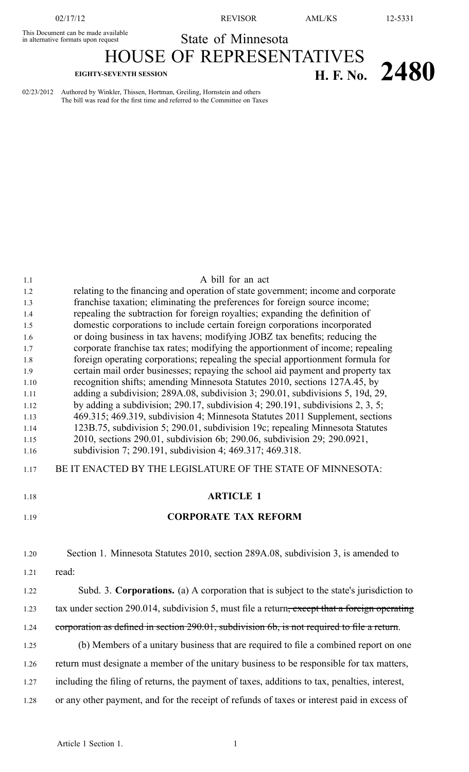#### This Document can be made available This Document can be made available<br>in alternative formats upon request State of Minnesota HOUSE OF REPRESENTATIVES

# **EIGHTY-SEVENTH SESSION H. F. No. 2480**

02/23/2012 Authored by Winkler, Thissen, Hortman, Greiling, Hornstein and others The bill was read for the first time and referred to the Committee on Taxes

| 1.1          | A bill for an act                                                                                                                                                |
|--------------|------------------------------------------------------------------------------------------------------------------------------------------------------------------|
| 1.2          | relating to the financing and operation of state government; income and corporate                                                                                |
| 1.3          | franchise taxation; eliminating the preferences for foreign source income;                                                                                       |
| 1.4          | repealing the subtraction for foreign royalties; expanding the definition of                                                                                     |
| 1.5          | domestic corporations to include certain foreign corporations incorporated                                                                                       |
| 1.6          | or doing business in tax havens; modifying JOBZ tax benefits; reducing the                                                                                       |
| 1.7          | corporate franchise tax rates; modifying the apportionment of income; repealing                                                                                  |
| 1.8          | foreign operating corporations; repealing the special apportionment formula for                                                                                  |
| 1.9          | certain mail order businesses; repaying the school aid payment and property tax                                                                                  |
| 1.10         | recognition shifts; amending Minnesota Statutes 2010, sections 127A.45, by                                                                                       |
| 1.11         | adding a subdivision; 289A.08, subdivision 3; 290.01, subdivisions 5, 19d, 29,<br>by adding a subdivision; 290.17, subdivision 4; 290.191, subdivisions 2, 3, 5; |
| 1.12<br>1.13 | 469.315; 469.319, subdivision 4; Minnesota Statutes 2011 Supplement, sections                                                                                    |
| 1.14         | 123B.75, subdivision 5; 290.01, subdivision 19c; repealing Minnesota Statutes                                                                                    |
| 1.15         | 2010, sections 290.01, subdivision 6b; 290.06, subdivision 29; 290.0921,                                                                                         |
| 1.16         | subdivision 7; 290.191, subdivision 4; 469.317; 469.318.                                                                                                         |
| 1.17         | BE IT ENACTED BY THE LEGISLATURE OF THE STATE OF MINNESOTA:                                                                                                      |
|              |                                                                                                                                                                  |
| 1.18         | <b>ARTICLE 1</b>                                                                                                                                                 |
| 1.19         | <b>CORPORATE TAX REFORM</b>                                                                                                                                      |
|              |                                                                                                                                                                  |
| 1.20         | Section 1. Minnesota Statutes 2010, section 289A.08, subdivision 3, is amended to                                                                                |
| 1.21         | read:                                                                                                                                                            |
| 1.22         | Subd. 3. Corporations. (a) A corporation that is subject to the state's jurisdiction to                                                                          |
| 1.23         | tax under section 290.014, subdivision 5, must file a return <del>, except that a foreign operating</del>                                                        |
| 1.24         | corporation as defined in section 290.01, subdivision 6b, is not required to file a return.                                                                      |
| 1.25         | (b) Members of a unitary business that are required to file a combined report on one                                                                             |
| 1.26         | return must designate a member of the unitary business to be responsible for tax matters,                                                                        |
| 1.27         | including the filing of returns, the payment of taxes, additions to tax, penalties, interest,                                                                    |
| 1.28         | or any other payment, and for the receipt of refunds of taxes or interest paid in excess of                                                                      |
|              |                                                                                                                                                                  |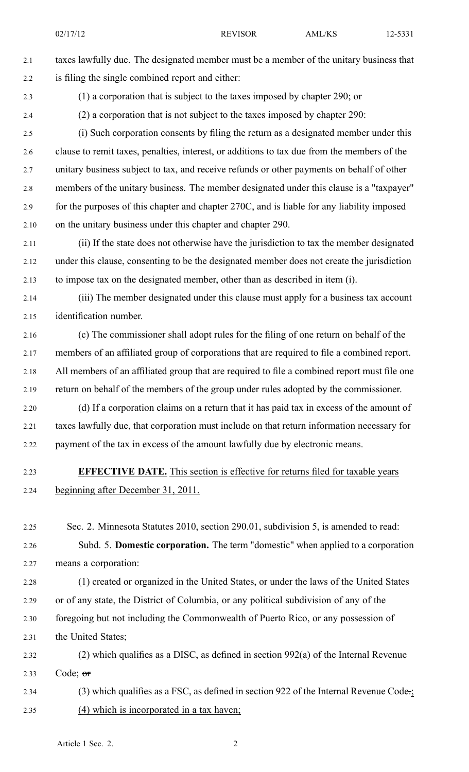02/17/12 REVISOR AML/KS 12-5331

2.1 taxes lawfully due. The designated member must be <sup>a</sup> member of the unitary business that 2.2 is filing the single combined repor<sup>t</sup> and either:

2.3 (1) <sup>a</sup> corporation that is subject to the taxes imposed by chapter 290; or

2.4 (2) <sup>a</sup> corporation that is not subject to the taxes imposed by chapter 290:

2.5 (i) Such corporation consents by filing the return as <sup>a</sup> designated member under this 2.6 clause to remit taxes, penalties, interest, or additions to tax due from the members of the 2.7 unitary business subject to tax, and receive refunds or other payments on behalf of other 2.8 members of the unitary business. The member designated under this clause is <sup>a</sup> "taxpayer" 2.9 for the purposes of this chapter and chapter 270C, and is liable for any liability imposed 2.10 on the unitary business under this chapter and chapter 290.

2.11 (ii) If the state does not otherwise have the jurisdiction to tax the member designated 2.12 under this clause, consenting to be the designated member does not create the jurisdiction 2.13 to impose tax on the designated member, other than as described in item (i).

2.14 (iii) The member designated under this clause must apply for <sup>a</sup> business tax account 2.15 identification number.

2.16 (c) The commissioner shall adopt rules for the filing of one return on behalf of the 2.17 members of an affiliated group of corporations that are required to file <sup>a</sup> combined report. 2.18 All members of an affiliated group that are required to file <sup>a</sup> combined repor<sup>t</sup> must file one 2.19 return on behalf of the members of the group under rules adopted by the commissioner.

2.20 (d) If <sup>a</sup> corporation claims on <sup>a</sup> return that it has paid tax in excess of the amount of 2.21 taxes lawfully due, that corporation must include on that return information necessary for 2.22 paymen<sup>t</sup> of the tax in excess of the amount lawfully due by electronic means.

#### 2.23 **EFFECTIVE DATE.** This section is effective for returns filed for taxable years 2.24 beginning after December 31, 2011.

2.25 Sec. 2. Minnesota Statutes 2010, section 290.01, subdivision 5, is amended to read: 2.26 Subd. 5. **Domestic corporation.** The term "domestic" when applied to <sup>a</sup> corporation 2.27 means <sup>a</sup> corporation:

2.28 (1) created or organized in the United States, or under the laws of the United States 2.29 or of any state, the District of Columbia, or any political subdivision of any of the 2.30 foregoing but not including the Commonwealth of Puerto Rico, or any possession of 2.31 the United States;

2.32 (2) which qualifies as <sup>a</sup> DISC, as defined in section 992(a) of the Internal Revenue 2.33 Code;  $\sigma$ r

2.34 (3) which qualifies as a FSC, as defined in section 922 of the Internal Revenue Code.; 2.35 (4) which is incorporated in <sup>a</sup> tax haven;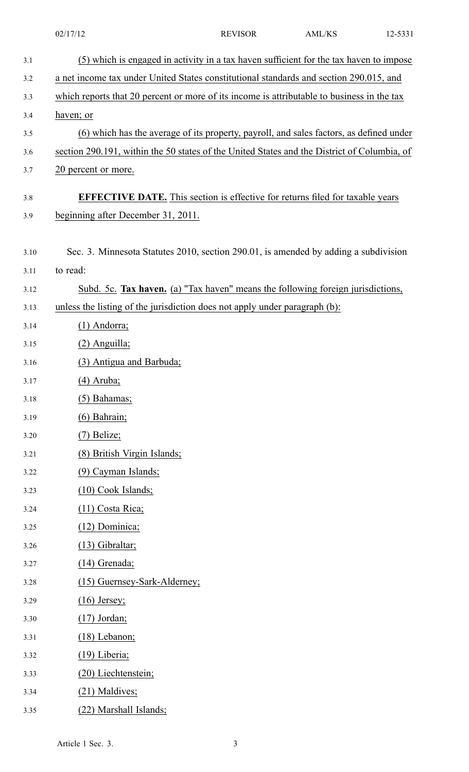|      | 02/17/12                                                                                    | <b>REVISOR</b> | <b>AML/KS</b> | 12-5331 |
|------|---------------------------------------------------------------------------------------------|----------------|---------------|---------|
| 3.1  | (5) which is engaged in activity in a tax haven sufficient for the tax haven to impose      |                |               |         |
| 3.2  | a net income tax under United States constitutional standards and section 290.015, and      |                |               |         |
| 3.3  | which reports that 20 percent or more of its income is attributable to business in the tax  |                |               |         |
| 3.4  | haven; or                                                                                   |                |               |         |
| 3.5  | (6) which has the average of its property, payroll, and sales factors, as defined under     |                |               |         |
| 3.6  | section 290.191, within the 50 states of the United States and the District of Columbia, of |                |               |         |
| 3.7  | 20 percent or more.                                                                         |                |               |         |
| 3.8  | <b>EFFECTIVE DATE.</b> This section is effective for returns filed for taxable years        |                |               |         |
| 3.9  | beginning after December 31, 2011.                                                          |                |               |         |
|      |                                                                                             |                |               |         |
| 3.10 | Sec. 3. Minnesota Statutes 2010, section 290.01, is amended by adding a subdivision         |                |               |         |
| 3.11 | to read:                                                                                    |                |               |         |
| 3.12 | Subd. 5c. Tax haven. (a) "Tax haven" means the following foreign jurisdictions,             |                |               |         |
| 3.13 | unless the listing of the jurisdiction does not apply under paragraph (b):                  |                |               |         |
| 3.14 | $(1)$ Andorra;                                                                              |                |               |         |
| 3.15 | $(2)$ Anguilla;                                                                             |                |               |         |
| 3.16 | (3) Antigua and Barbuda;                                                                    |                |               |         |
| 3.17 | $(4)$ Aruba;                                                                                |                |               |         |
| 3.18 | $(5)$ Bahamas;                                                                              |                |               |         |
| 3.19 | $(6)$ Bahrain;                                                                              |                |               |         |
| 3.20 | $(7)$ Belize;                                                                               |                |               |         |
| 3.21 | (8) British Virgin Islands;                                                                 |                |               |         |
| 3.22 | (9) Cayman Islands;                                                                         |                |               |         |
| 3.23 | (10) Cook Islands;                                                                          |                |               |         |
| 3.24 | $(11)$ Costa Rica;                                                                          |                |               |         |
| 3.25 | (12) Dominica;                                                                              |                |               |         |
| 3.26 | $(13)$ Gibraltar;                                                                           |                |               |         |
| 3.27 | $(14)$ Grenada;                                                                             |                |               |         |
| 3.28 | (15) Guernsey-Sark-Alderney;                                                                |                |               |         |
| 3.29 | $(16)$ Jersey;                                                                              |                |               |         |
| 3.30 | $(17)$ Jordan;                                                                              |                |               |         |
| 3.31 | $(18)$ Lebanon;                                                                             |                |               |         |
| 3.32 | (19) Liberia;                                                                               |                |               |         |
| 3.33 | (20) Liechtenstein;                                                                         |                |               |         |
| 3.34 | (21) Maldives;                                                                              |                |               |         |
| 3.35 | (22) Marshall Islands;                                                                      |                |               |         |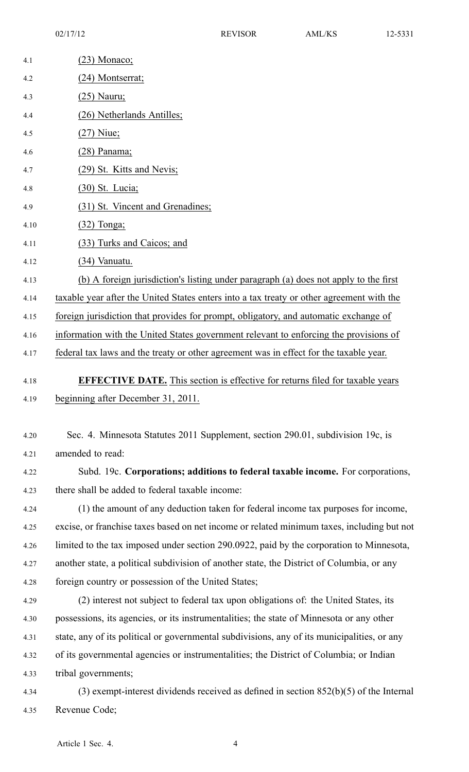| 4.1  | $(23)$ Monaco;                                                                              |
|------|---------------------------------------------------------------------------------------------|
| 4.2  | (24) Montserrat;                                                                            |
| 4.3  | <u>(25) Nauru;</u>                                                                          |
| 4.4  | (26) Netherlands Antilles;                                                                  |
| 4.5  | $(27)$ Niue;                                                                                |
| 4.6  | $(28)$ Panama;                                                                              |
| 4.7  | (29) St. Kitts and Nevis;                                                                   |
| 4.8  | <u>(30) St. Lucia;</u>                                                                      |
| 4.9  | (31) St. Vincent and Grenadines;                                                            |
| 4.10 | $(32)$ Tonga;                                                                               |
| 4.11 | (33) Turks and Caicos; and                                                                  |
| 4.12 | $(34)$ Vanuatu.                                                                             |
| 4.13 | (b) A foreign jurisdiction's listing under paragraph (a) does not apply to the first        |
| 4.14 | taxable year after the United States enters into a tax treaty or other agreement with the   |
| 4.15 | foreign jurisdiction that provides for prompt, obligatory, and automatic exchange of        |
| 4.16 | information with the United States government relevant to enforcing the provisions of       |
| 4.17 | federal tax laws and the treaty or other agreement was in effect for the taxable year.      |
| 4.18 | <b>EFFECTIVE DATE.</b> This section is effective for returns filed for taxable years        |
| 4.19 | beginning after December 31, 2011.                                                          |
|      |                                                                                             |
| 4.20 | Sec. 4. Minnesota Statutes 2011 Supplement, section 290.01, subdivision 19c, is             |
| 4.21 | amended to read:                                                                            |
| 4.22 | Subd. 19c. Corporations; additions to federal taxable income. For corporations,             |
| 4.23 | there shall be added to federal taxable income:                                             |
| 4.24 | (1) the amount of any deduction taken for federal income tax purposes for income,           |
| 4.25 | excise, or franchise taxes based on net income or related minimum taxes, including but not  |
| 4.26 | limited to the tax imposed under section 290.0922, paid by the corporation to Minnesota,    |
| 4.27 | another state, a political subdivision of another state, the District of Columbia, or any   |
| 4.28 | foreign country or possession of the United States;                                         |
| 4.29 | (2) interest not subject to federal tax upon obligations of: the United States, its         |
| 4.30 | possessions, its agencies, or its instrumentalities; the state of Minnesota or any other    |
| 4.31 | state, any of its political or governmental subdivisions, any of its municipalities, or any |
| 4.32 | of its governmental agencies or instrumentalities; the District of Columbia; or Indian      |
| 4.33 | tribal governments;                                                                         |
| 4.34 | $(3)$ exempt-interest dividends received as defined in section 852(b)(5) of the Internal    |
| 4.35 | Revenue Code;                                                                               |
|      |                                                                                             |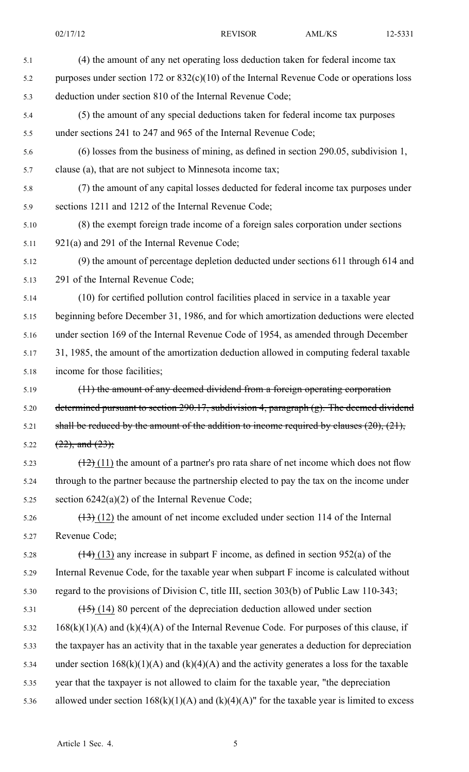| 5.1  | (4) the amount of any net operating loss deduction taken for federal income tax                             |
|------|-------------------------------------------------------------------------------------------------------------|
| 5.2  | purposes under section 172 or $832(c)(10)$ of the Internal Revenue Code or operations loss                  |
| 5.3  | deduction under section 810 of the Internal Revenue Code;                                                   |
| 5.4  | (5) the amount of any special deductions taken for federal income tax purposes                              |
| 5.5  | under sections 241 to 247 and 965 of the Internal Revenue Code;                                             |
| 5.6  | $(6)$ losses from the business of mining, as defined in section 290.05, subdivision 1,                      |
| 5.7  | clause (a), that are not subject to Minnesota income tax;                                                   |
| 5.8  | (7) the amount of any capital losses deducted for federal income tax purposes under                         |
| 5.9  | sections 1211 and 1212 of the Internal Revenue Code;                                                        |
| 5.10 | (8) the exempt foreign trade income of a foreign sales corporation under sections                           |
| 5.11 | 921(a) and 291 of the Internal Revenue Code;                                                                |
| 5.12 | (9) the amount of percentage depletion deducted under sections 611 through 614 and                          |
| 5.13 | 291 of the Internal Revenue Code;                                                                           |
| 5.14 | (10) for certified pollution control facilities placed in service in a taxable year                         |
| 5.15 | beginning before December 31, 1986, and for which amortization deductions were elected                      |
| 5.16 | under section 169 of the Internal Revenue Code of 1954, as amended through December                         |
| 5.17 | 31, 1985, the amount of the amortization deduction allowed in computing federal taxable                     |
| 5.18 | income for those facilities;                                                                                |
| 5.19 | $(11)$ the amount of any deemed dividend from a foreign operating corporation                               |
| 5.20 | determined pursuant to section 290.17, subdivision 4, paragraph $(g)$ . The deemed dividend                 |
| 5.21 | shall be reduced by the amount of the addition to income required by clauses $(20)$ , $(21)$ ,              |
| 5.22 | $(22)$ , and $(23)$ ;                                                                                       |
| 5.23 | $\left(\frac{12}{2}\right)$ (11) the amount of a partner's pro rata share of net income which does not flow |
| 5.24 | through to the partner because the partnership elected to pay the tax on the income under                   |
| 5.25 | section $6242(a)(2)$ of the Internal Revenue Code;                                                          |
| 5.26 | $\frac{(13)}{(12)}$ the amount of net income excluded under section 114 of the Internal                     |
| 5.27 | Revenue Code;                                                                                               |
| 5.28 | $\frac{(14)}{(13)}$ any increase in subpart F income, as defined in section 952(a) of the                   |
| 5.29 | Internal Revenue Code, for the taxable year when subpart F income is calculated without                     |
| 5.30 | regard to the provisions of Division C, title III, section 303(b) of Public Law 110-343;                    |
| 5.31 | $\frac{(15)(14)}{(15)(14)}$ 80 percent of the depreciation deduction allowed under section                  |
| 5.32 | $168(k)(1)(A)$ and $(k)(4)(A)$ of the Internal Revenue Code. For purposes of this clause, if                |
| 5.33 | the taxpayer has an activity that in the taxable year generates a deduction for depreciation                |
| 5.34 | under section $168(k)(1)(A)$ and $(k)(4)(A)$ and the activity generates a loss for the taxable              |
| 5.35 | year that the taxpayer is not allowed to claim for the taxable year, "the depreciation                      |
| 5.36 | allowed under section $168(k)(1)(A)$ and $(k)(4)(A)$ " for the taxable year is limited to excess            |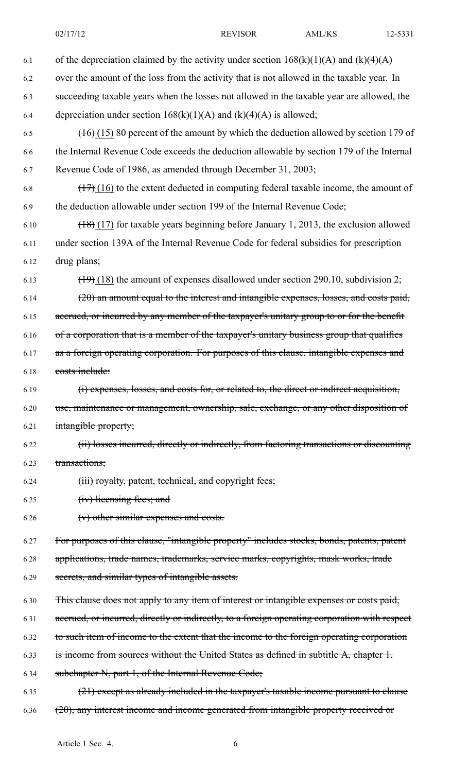| 6.1  | of the depreciation claimed by the activity under section $168(k)(1)(A)$ and $(k)(4)(A)$      |
|------|-----------------------------------------------------------------------------------------------|
| 6.2  | over the amount of the loss from the activity that is not allowed in the taxable year. In     |
| 6.3  | succeeding taxable years when the losses not allowed in the taxable year are allowed, the     |
| 6.4  | depreciation under section $168(k)(1)(A)$ and $(k)(4)(A)$ is allowed;                         |
| 6.5  | $(16)(15)$ 80 percent of the amount by which the deduction allowed by section 179 of          |
| 6.6  | the Internal Revenue Code exceeds the deduction allowable by section 179 of the Internal      |
| 6.7  | Revenue Code of 1986, as amended through December 31, 2003;                                   |
| 6.8  | $(17)$ (16) to the extent deducted in computing federal taxable income, the amount of         |
| 6.9  | the deduction allowable under section 199 of the Internal Revenue Code;                       |
| 6.10 | $(18)(17)$ for taxable years beginning before January 1, 2013, the exclusion allowed          |
| 6.11 | under section 139A of the Internal Revenue Code for federal subsidies for prescription        |
| 6.12 | drug plans;                                                                                   |
| 6.13 | $(19)$ (18) the amount of expenses disallowed under section 290.10, subdivision 2;            |
| 6.14 | (20) an amount equal to the interest and intangible expenses, losses, and costs paid,         |
| 6.15 | accrued, or incurred by any member of the taxpayer's unitary group to or for the benefit      |
| 6.16 | of a corporation that is a member of the taxpayer's unitary business group that qualifies     |
| 6.17 | as a foreign operating corporation. For purposes of this clause, intangible expenses and      |
| 6.18 | costs include:                                                                                |
| 6.19 | (i) expenses, losses, and costs for, or related to, the direct or indirect acquisition,       |
| 6.20 | use, maintenance or management, ownership, sale, exchange, or any other disposition of        |
| 6.21 | intangible property;                                                                          |
| 6.22 | (ii) losses incurred, directly or indirectly, from factoring transactions or discounting      |
| 6.23 | transactions;                                                                                 |
| 6.24 | (iii) royalty, patent, technical, and copyright fees;                                         |
| 6.25 | (iv) licensing fees; and                                                                      |
| 6.26 | (v) other similar expenses and costs.                                                         |
| 6.27 | For purposes of this clause, "intangible property" includes stocks, bonds, patents, patent    |
| 6.28 | applications, trade names, trademarks, service marks, copyrights, mask works, trade           |
| 6.29 | secrets, and similar types of intangible assets.                                              |
| 6.30 | This clause does not apply to any item of interest or intangible expenses or costs paid,      |
| 6.31 | accrued, or incurred, directly or indirectly, to a foreign operating corporation with respect |
| 6.32 | to such item of income to the extent that the income to the foreign operating corporation     |
| 6.33 | is income from sources without the United States as defined in subtitle A, chapter 1,         |
| 6.34 | subchapter N, part 1, of the Internal Revenue Code;                                           |
| 6.35 | $(21)$ except as already included in the taxpayer's taxable income pursuant to clause         |
| 6.36 | (20), any interest income and income generated from intangible property received or           |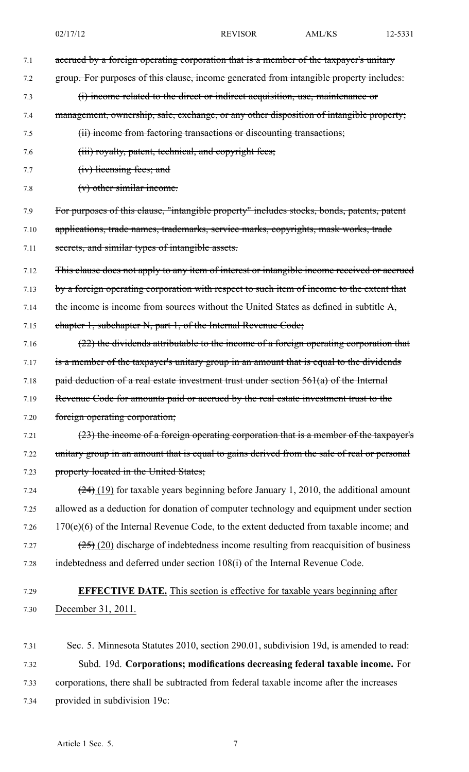7.1 accrued by a foreign operating corporation that is a member of the taxpayer's unitary 7.2 group. For purposes of this clause, income generated from intangible property includes: 7.3 (i) income related to the direct or indirect acquisition, use, maintenance or 7.4 management, ownership, sale, exchange, or any other disposition of intangible property; 7.5 (ii) income from factoring transactions or discounting transactions; 7.6 **(iii) royalty, patent, technical, and copyright fees;** 7.7 (iv) licensing fees; and 7.8 (v) other similar income. 7.9 For purposes of this clause, "intangible property" includes stocks, bonds, patents, patent 7.10 applications, trade names, trademarks, service marks, copyrights, mask works, trade 7.11 secrets, and similar types of intangible assets. 7.12 This clause does not apply to any item of interest or intangible income received or accrued 7.13 by a foreign operating corporation with respect to such item of income to the extent that 7.14 the income is income from sources without the United States as defined in subtitle A, 7.15 chapter 1, subchapter N, par<sup>t</sup> 1, of the Internal Revenue Code; 7.16 (22) the dividends attributable to the income of a foreign operating corporation that 7.17 is a member of the taxpayer's unitary group in an amount that is equal to the dividends 7.18 paid deduction of a real estate investment trust under section  $561(a)$  of the Internal 7.19 Revenue Code for amounts paid or accrued by the real estate investment trust to the 7.20 foreign operating corporation; 7.21  $(23)$  the income of a foreign operating corporation that is a member of the taxpayer's 7.22 unitary group in an amount that is equal to gains derived from the sale of real or personal 7.23 property located in the United States; 7.24  $(24)(19)$  for taxable years beginning before January 1, 2010, the additional amount 7.25 allowed as <sup>a</sup> deduction for donation of computer technology and equipment under section 7.26 170(e)(6) of the Internal Revenue Code, to the extent deducted from taxable income; and 7.27  $(25)(20)$  discharge of indebtedness income resulting from reacquisition of business 7.28 indebtedness and deferred under section 108(i) of the Internal Revenue Code. 7.29 **EFFECTIVE DATE.** This section is effective for taxable years beginning after 7.30 December 31, 2011.

7.31 Sec. 5. Minnesota Statutes 2010, section 290.01, subdivision 19d, is amended to read: 7.32 Subd. 19d. **Corporations; modifications decreasing federal taxable income.** For 7.33 corporations, there shall be subtracted from federal taxable income after the increases 7.34 provided in subdivision 19c: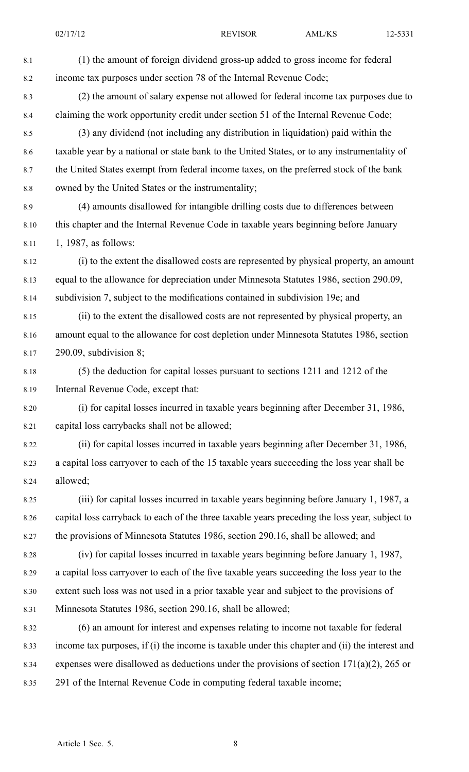8.1 (1) the amount of foreign dividend gross-up added to gross income for federal 8.2 income tax purposes under section 78 of the Internal Revenue Code; 8.3 (2) the amount of salary expense not allowed for federal income tax purposes due to 8.4 claiming the work opportunity credit under section 51 of the Internal Revenue Code; 8.5 (3) any dividend (not including any distribution in liquidation) paid within the 8.6 taxable year by <sup>a</sup> national or state bank to the United States, or to any instrumentality of 8.7 the United States exemp<sup>t</sup> from federal income taxes, on the preferred stock of the bank 8.8 owned by the United States or the instrumentality; 8.9 (4) amounts disallowed for intangible drilling costs due to differences between 8.10 this chapter and the Internal Revenue Code in taxable years beginning before January 8.11 1, 1987, as follows: 8.12 (i) to the extent the disallowed costs are represented by physical property, an amount 8.13 equal to the allowance for depreciation under Minnesota Statutes 1986, section 290.09, 8.14 subdivision 7, subject to the modifications contained in subdivision 19e; and 8.15 (ii) to the extent the disallowed costs are not represented by physical property, an 8.16 amount equal to the allowance for cost depletion under Minnesota Statutes 1986, section 8.17 290.09, subdivision 8; 8.18 (5) the deduction for capital losses pursuan<sup>t</sup> to sections 1211 and 1212 of the 8.19 Internal Revenue Code, excep<sup>t</sup> that: 8.20 (i) for capital losses incurred in taxable years beginning after December 31, 1986, 8.21 capital loss carrybacks shall not be allowed; 8.22 (ii) for capital losses incurred in taxable years beginning after December 31, 1986, 8.23 <sup>a</sup> capital loss carryover to each of the 15 taxable years succeeding the loss year shall be 8.24 allowed; 8.25 (iii) for capital losses incurred in taxable years beginning before January 1, 1987, <sup>a</sup> 8.26 capital loss carryback to each of the three taxable years preceding the loss year, subject to 8.27 the provisions of Minnesota Statutes 1986, section 290.16, shall be allowed; and 8.28 (iv) for capital losses incurred in taxable years beginning before January 1, 1987, 8.29 <sup>a</sup> capital loss carryover to each of the five taxable years succeeding the loss year to the 8.30 extent such loss was not used in <sup>a</sup> prior taxable year and subject to the provisions of 8.31 Minnesota Statutes 1986, section 290.16, shall be allowed; 8.32 (6) an amount for interest and expenses relating to income not taxable for federal 8.33 income tax purposes, if (i) the income is taxable under this chapter and (ii) the interest and 8.34 expenses were disallowed as deductions under the provisions of section 171(a)(2), 265 or 8.35 291 of the Internal Revenue Code in computing federal taxable income;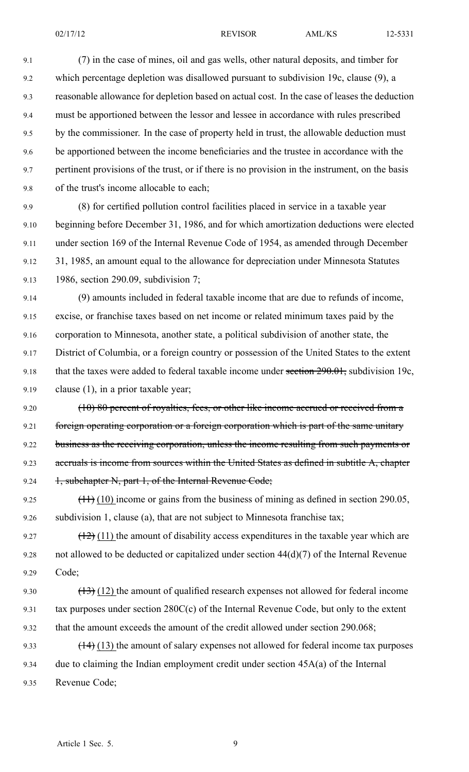9.1 (7) in the case of mines, oil and gas wells, other natural deposits, and timber for 9.2 which percentage depletion was disallowed pursuan<sup>t</sup> to subdivision 19c, clause (9), <sup>a</sup> 9.3 reasonable allowance for depletion based on actual cost. In the case of leases the deduction 9.4 must be apportioned between the lessor and lessee in accordance with rules prescribed 9.5 by the commissioner. In the case of property held in trust, the allowable deduction must 9.6 be apportioned between the income beneficiaries and the trustee in accordance with the 9.7 pertinent provisions of the trust, or if there is no provision in the instrument, on the basis 9.8 of the trust's income allocable to each;

9.9 (8) for certified pollution control facilities placed in service in <sup>a</sup> taxable year 9.10 beginning before December 31, 1986, and for which amortization deductions were elected 9.11 under section 169 of the Internal Revenue Code of 1954, as amended through December 9.12 31, 1985, an amount equal to the allowance for depreciation under Minnesota Statutes 9.13 1986, section 290.09, subdivision 7;

9.14 (9) amounts included in federal taxable income that are due to refunds of income, 9.15 excise, or franchise taxes based on net income or related minimum taxes paid by the 9.16 corporation to Minnesota, another state, <sup>a</sup> political subdivision of another state, the 9.17 District of Columbia, or <sup>a</sup> foreign country or possession of the United States to the extent 9.18 that the taxes were added to federal taxable income under section 290.01, subdivision 19c, 9.19 clause (1), in a prior taxable year;

9.20 (10) 80 percent of royalties, fees, or other like income accrued or received from a 9.21 foreign operating corporation or a foreign corporation which is part of the same unitary 9.22 business as the receiving corporation, unless the income resulting from such payments or 9.23 accruals is income from sources within the United States as defined in subtitle A, chapter 9.24 1, subchapter N, part 1, of the Internal Revenue Code;

9.25  $(11)$  (10) income or gains from the business of mining as defined in section 290.05, 9.26 subdivision 1, clause (a), that are not subject to Minnesota franchise tax;

9.27  $(12)$  (11) the amount of disability access expenditures in the taxable year which are 9.28 not allowed to be deducted or capitalized under section  $44(d)(7)$  of the Internal Revenue 9.29 Code;

9.30  $(13)$  (12) the amount of qualified research expenses not allowed for federal income 9.31 tax purposes under section 280C(c) of the Internal Revenue Code, but only to the extent 9.32 that the amount exceeds the amount of the credit allowed under section 290.068;

9.33  $(14)(13)$  the amount of salary expenses not allowed for federal income tax purposes 9.34 due to claiming the Indian employment credit under section 45A(a) of the Internal 9.35 Revenue Code;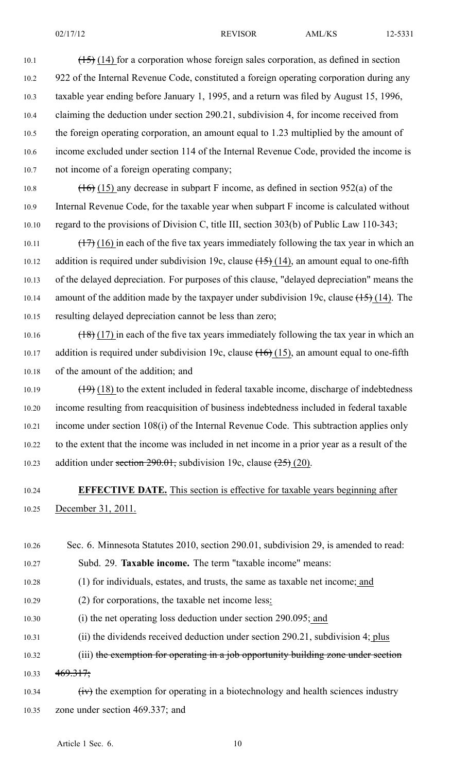10.1  $\left(\frac{15}{14}\right)$  (14) for a corporation whose foreign sales corporation, as defined in section 10.2 922 of the Internal Revenue Code, constituted <sup>a</sup> foreign operating corporation during any 10.3 taxable year ending before January 1, 1995, and <sup>a</sup> return was filed by August 15, 1996, 10.4 claiming the deduction under section 290.21, subdivision 4, for income received from 10.5 the foreign operating corporation, an amount equal to 1.23 multiplied by the amount of 10.6 income excluded under section 114 of the Internal Revenue Code, provided the income is 10.7 not income of <sup>a</sup> foreign operating company;

10.8 (16) (15) any decrease in subpart F income, as defined in section 952(a) of the 10.9 Internal Revenue Code, for the taxable year when subpart F income is calculated without 10.10 regard to the provisions of Division C, title III, section 303(b) of Public Law 110-343;

10.11  $\left(\frac{17}{16}\right)$  (16) in each of the five tax years immediately following the tax year in which an 10.12 addition is required under subdivision 19c, clause  $(15)$  (14), an amount equal to one-fifth 10.13 of the delayed depreciation. For purposes of this clause, "delayed depreciation" means the 10.14 amount of the addition made by the taxpayer under subdivision 19c, clause  $\left(\frac{15}{14}\right)$ . The 10.15 resulting delayed depreciation cannot be less than zero;

10.16  $\left(\frac{18}{17}\right)$  in each of the five tax years immediately following the tax year in which an 10.17 addition is required under subdivision 19c, clause  $(16)(15)$ , an amount equal to one-fifth 10.18 of the amount of the addition; and

10.19  $\left(\frac{19}{18}\right)$  (18) to the extent included in federal taxable income, discharge of indebtedness 10.20 income resulting from reacquisition of business indebtedness included in federal taxable 10.21 income under section 108(i) of the Internal Revenue Code. This subtraction applies only 10.22 to the extent that the income was included in net income in <sup>a</sup> prior year as <sup>a</sup> result of the 10.23 addition under section  $290.01$ , subdivision 19c, clause  $(25)(20)$ .

#### 10.24 **EFFECTIVE DATE.** This section is effective for taxable years beginning after 10.25 December 31, 2011.

- 10.26 Sec. 6. Minnesota Statutes 2010, section 290.01, subdivision 29, is amended to read: 10.27 Subd. 29. **Taxable income.** The term "taxable income" means:
- 10.28 (1) for individuals, estates, and trusts, the same as taxable net income; and
- 10.29 (2) for corporations, the taxable net income less:
- 10.30 (i) the net operating loss deduction under section 290.095; and
- 10.31 (ii) the dividends received deduction under section 290.21, subdivision 4; plus

10.32 (iii) the exemption for operating in a job opportunity building zone under section 10.33  $469.317;$ 

10.34  $\text{(iv)}$  the exemption for operating in a biotechnology and health sciences industry 10.35 zone under section 469.337; and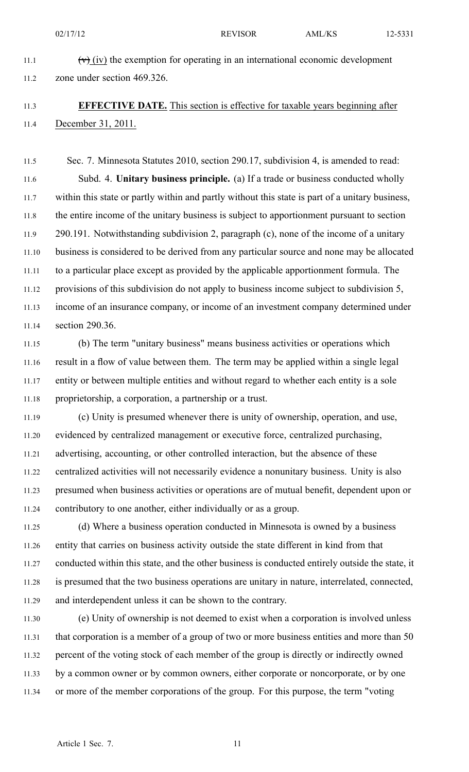02/17/12 REVISOR AML/KS 12-5331 11.1  $(v)$  (iv) the exemption for operating in an international economic development 11.2 zone under section 469.326.

#### 11.3 **EFFECTIVE DATE.** This section is effective for taxable years beginning after 11.4 December 31, 2011.

11.5 Sec. 7. Minnesota Statutes 2010, section 290.17, subdivision 4, is amended to read: 11.6 Subd. 4. **Unitary business principle.** (a) If <sup>a</sup> trade or business conducted wholly 11.7 within this state or partly within and partly without this state is par<sup>t</sup> of <sup>a</sup> unitary business, 11.8 the entire income of the unitary business is subject to apportionment pursuan<sup>t</sup> to section 11.9 290.191. Notwithstanding subdivision 2, paragraph (c), none of the income of <sup>a</sup> unitary 11.10 business is considered to be derived from any particular source and none may be allocated 11.11 to <sup>a</sup> particular place excep<sup>t</sup> as provided by the applicable apportionment formula. The 11.12 provisions of this subdivision do not apply to business income subject to subdivision 5, 11.13 income of an insurance company, or income of an investment company determined under 11.14 section 290.36.

11.15 (b) The term "unitary business" means business activities or operations which 11.16 result in <sup>a</sup> flow of value between them. The term may be applied within <sup>a</sup> single legal 11.17 entity or between multiple entities and without regard to whether each entity is <sup>a</sup> sole 11.18 proprietorship, <sup>a</sup> corporation, <sup>a</sup> partnership or <sup>a</sup> trust.

11.19 (c) Unity is presumed whenever there is unity of ownership, operation, and use, 11.20 evidenced by centralized managemen<sup>t</sup> or executive force, centralized purchasing, 11.21 advertising, accounting, or other controlled interaction, but the absence of these 11.22 centralized activities will not necessarily evidence <sup>a</sup> nonunitary business. Unity is also 11.23 presumed when business activities or operations are of mutual benefit, dependent upon or 11.24 contributory to one another, either individually or as <sup>a</sup> group.

11.25 (d) Where <sup>a</sup> business operation conducted in Minnesota is owned by <sup>a</sup> business 11.26 entity that carries on business activity outside the state different in kind from that 11.27 conducted within this state, and the other business is conducted entirely outside the state, it 11.28 is presumed that the two business operations are unitary in nature, interrelated, connected, 11.29 and interdependent unless it can be shown to the contrary.

11.30 (e) Unity of ownership is not deemed to exist when <sup>a</sup> corporation is involved unless 11.31 that corporation is <sup>a</sup> member of <sup>a</sup> group of two or more business entities and more than 50 11.32 percen<sup>t</sup> of the voting stock of each member of the group is directly or indirectly owned 11.33 by <sup>a</sup> common owner or by common owners, either corporate or noncorporate, or by one 11.34 or more of the member corporations of the group. For this purpose, the term "voting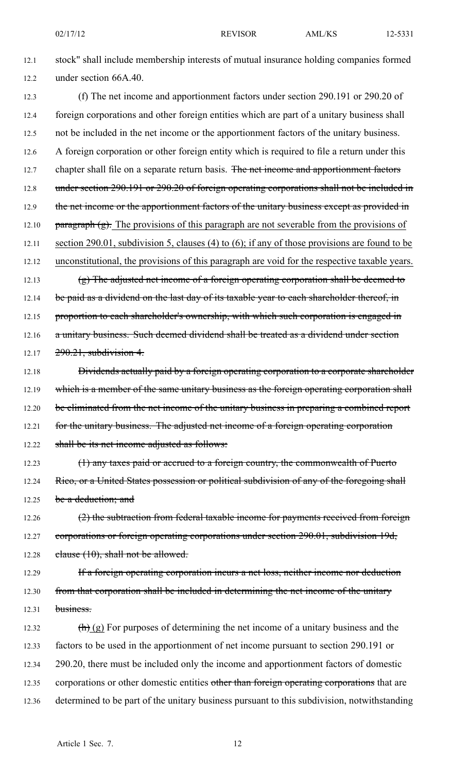12.1 stock" shall include membership interests of mutual insurance holding companies formed 12.2 under section 66A.40.

- 12.3 (f) The net income and apportionment factors under section 290.191 or 290.20 of 12.4 foreign corporations and other foreign entities which are par<sup>t</sup> of <sup>a</sup> unitary business shall 12.5 not be included in the net income or the apportionment factors of the unitary business. 12.6 A foreign corporation or other foreign entity which is required to file <sup>a</sup> return under this 12.7 chapter shall file on a separate return basis. The net income and apportionment factors 12.8 under section 290.191 or 290.20 of foreign operating corporations shall not be included in 12.9 the net income or the apportionment factors of the unitary business except as provided in 12.10  $\frac{12.10}{9}$  paragraph (g). The provisions of this paragraph are not severable from the provisions of 12.11 section 290.01, subdivision 5, clauses (4) to (6); if any of those provisions are found to be 12.12 unconstitutional, the provisions of this paragraph are void for the respective taxable years. 12.13 (g) The adjusted net income of a foreign operating corporation shall be deemed to 12.14 be paid as a dividend on the last day of its taxable year to each shareholder thereof, in 12.15 proportion to each shareholder's ownership, with which such corporation is engaged in 12.16 a unitary business. Such deemed dividend shall be treated as a dividend under section 12.17  $290.21$ , subdivision 4. 12.18 **Dividends actually paid by a foreign operating corporation to a corporate shareholder** 12.19 which is a member of the same unitary business as the foreign operating corporation shall 12.20 be eliminated from the net income of the unitary business in preparing a combined report 12.21 for the unitary business. The adjusted net income of a foreign operating corporation 12.22 shall be its net income adjusted as follows:
- 12.23 (1) any taxes paid or accrued to <sup>a</sup> foreign country, the commonwealth of Puerto 12.24 Rico, or a United States possession or political subdivision of any of the foregoing shall 12.25 be a deduction; and
- 12.26  $(2)$  the subtraction from federal taxable income for payments received from foreign 12.27 corporations or foreign operating corporations under section 290.01, subdivision 19d, 12.28 clause  $(10)$ , shall not be allowed.
- 12.29 If a foreign operating corporation incurs a net loss, neither income nor deduction 12.30 from that corporation shall be included in determining the net income of the unitary  $12.31$  business.
- 12.32  $\left(\frac{h}{h}\right)$  (g) For purposes of determining the net income of a unitary business and the 12.33 factors to be used in the apportionment of net income pursuan<sup>t</sup> to section 290.191 or 12.34 290.20, there must be included only the income and apportionment factors of domestic 12.35 corporations or other domestic entities other than foreign operating corporations that are 12.36 determined to be par<sup>t</sup> of the unitary business pursuan<sup>t</sup> to this subdivision, notwithstanding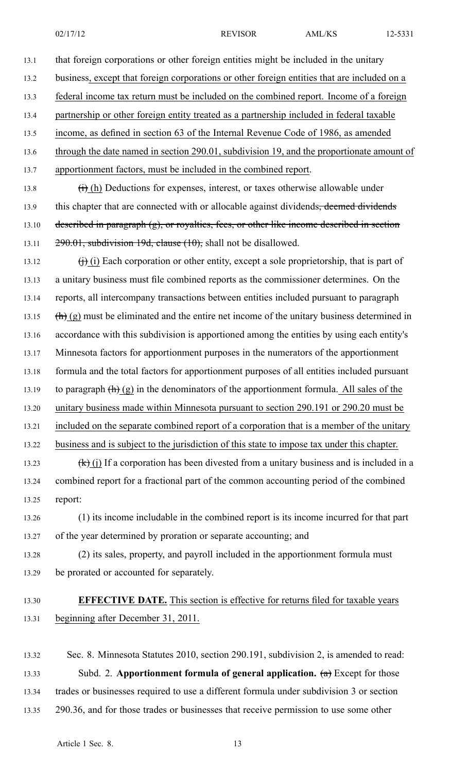13.1 that foreign corporations or other foreign entities might be included in the unitary 13.2 business, excep<sup>t</sup> that foreign corporations or other foreign entities that are included on <sup>a</sup> 13.3 federal income tax return must be included on the combined report. Income of <sup>a</sup> foreign 13.4 partnership or other foreign entity treated as <sup>a</sup> partnership included in federal taxable 13.5 income, as defined in section 63 of the Internal Revenue Code of 1986, as amended 13.6 through the date named in section 290.01, subdivision 19, and the proportionate amount of 13.7 apportionment factors, must be included in the combined report. 13.8  $(i)$  (h) Deductions for expenses, interest, or taxes otherwise allowable under 13.9 this chapter that are connected with or allocable against dividends, deemed dividends 13.10 described in paragraph  $(g)$ , or royalties, fees, or other like income described in section 13.11 290.01, subdivision 19d, clause (10), shall not be disallowed. 13.12  $\qquad$  (i) Each corporation or other entity, except a sole proprietorship, that is part of 13.13 <sup>a</sup> unitary business must file combined reports as the commissioner determines. On the 13.14 reports, all intercompany transactions between entities included pursuan<sup>t</sup> to paragraph 13.15  $\left(\frac{h}{h}\right)$  (g) must be eliminated and the entire net income of the unitary business determined in 13.16 accordance with this subdivision is apportioned among the entities by using each entity's 13.17 Minnesota factors for apportionment purposes in the numerators of the apportionment 13.18 formula and the total factors for apportionment purposes of all entities included pursuan<sup>t</sup> 13.19 to paragraph  $\left(\mathbf{h}\right)$  (g) in the denominators of the apportionment formula. All sales of the 13.20 unitary business made within Minnesota pursuan<sup>t</sup> to section 290.191 or 290.20 must be 13.21 included on the separate combined repor<sup>t</sup> of <sup>a</sup> corporation that is <sup>a</sup> member of the unitary 13.22 business and is subject to the jurisdiction of this state to impose tax under this chapter. 13.23 (k) (j) If a corporation has been divested from a unitary business and is included in a 13.24 combined repor<sup>t</sup> for <sup>a</sup> fractional par<sup>t</sup> of the common accounting period of the combined 13.25 report: 13.26 (1) its income includable in the combined repor<sup>t</sup> is its income incurred for that par<sup>t</sup> 13.27 of the year determined by proration or separate accounting; and 13.28 (2) its sales, property, and payroll included in the apportionment formula must 13.29 be prorated or accounted for separately. 13.30 **EFFECTIVE DATE.** This section is effective for returns filed for taxable years

13.31 beginning after December 31, 2011.

13.32 Sec. 8. Minnesota Statutes 2010, section 290.191, subdivision 2, is amended to read: 13.33 Subd. 2. **Apportionment formula of general application.** (a) Except for those 13.34 trades or businesses required to use <sup>a</sup> different formula under subdivision 3 or section 13.35 290.36, and for those trades or businesses that receive permission to use some other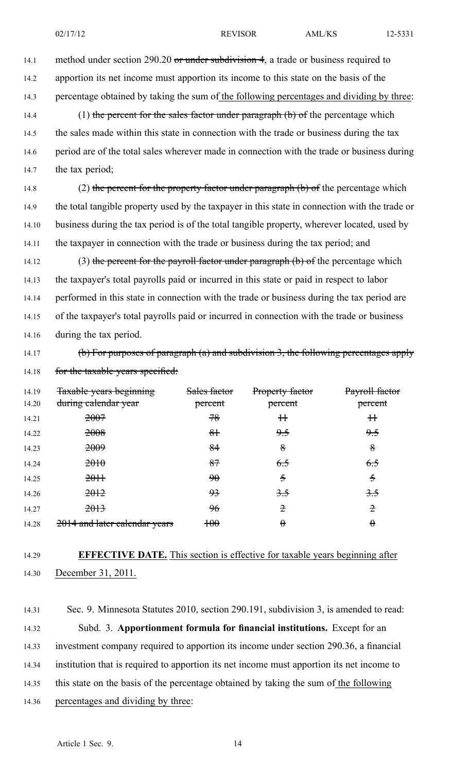14.1 method under section 290.20 or under subdivision 4, a trade or business required to

- 14.2 apportion its net income must apportion its income to this state on the basis of the
- 14.3 percentage obtained by taking the sum of the following percentages and dividing by three:

14.4 (1) the percent for the sales factor under paragraph (b) of the percentage which 14.5 the sales made within this state in connection with the trade or business during the tax 14.6 period are of the total sales wherever made in connection with the trade or business during 14.7 the tax period;

14.8 (2) the percent for the property factor under paragraph (b) of the percentage which 14.9 the total tangible property used by the taxpayer in this state in connection with the trade or 14.10 business during the tax period is of the total tangible property, wherever located, used by 14.11 the taxpayer in connection with the trade or business during the tax period; and

14.12 (3) the percent for the payroll factor under paragraph  $(b)$  of the percentage which 14.13 the taxpayer's total payrolls paid or incurred in this state or paid in respec<sup>t</sup> to labor 14.14 performed in this state in connection with the trade or business during the tax period are 14.15 of the taxpayer's total payrolls paid or incurred in connection with the trade or business 14.16 during the tax period.

14.17 (b) For purposes of paragraph (a) and subdivision 3, the following percentages apply 14.18 for the taxable years specified:

14.19 <del>Taxable years beginning Sales factor Property factor Payroll factor</del> 14.20 during calendar year **percent percent percent percent percent** Sales factor percent Property factor percent 14.21 2<del>007</del> 2007 <del>78</del> <del>11</del> 11 11</del> 14.22 2008 3H 9.5 9.5 14.23 2<del>009</del> 84 8 8 14.24 2<del>010</del> 2010 87 6.<del>5</del> 6.5 6.5 14.25 2<del>011</del> 90 5 5 14.26 2<del>012</del> 2012 93 3.5 3.5  $14.27$   $2013$   $96$   $2$   $2$   $2$ 14.28 2014 and later calendar years 100  $\theta$   $\theta$ 

#### 14.29 **EFFECTIVE DATE.** This section is effective for taxable years beginning after 14.30 December 31, 2011.

14.31 Sec. 9. Minnesota Statutes 2010, section 290.191, subdivision 3, is amended to read: 14.32 Subd. 3. **Apportionment formula for financial institutions.** Except for an 14.33 investment company required to apportion its income under section 290.36, <sup>a</sup> financial 14.34 institution that is required to apportion its net income must apportion its net income to 14.35 this state on the basis of the percentage obtained by taking the sum of the following 14.36 percentages and dividing by three: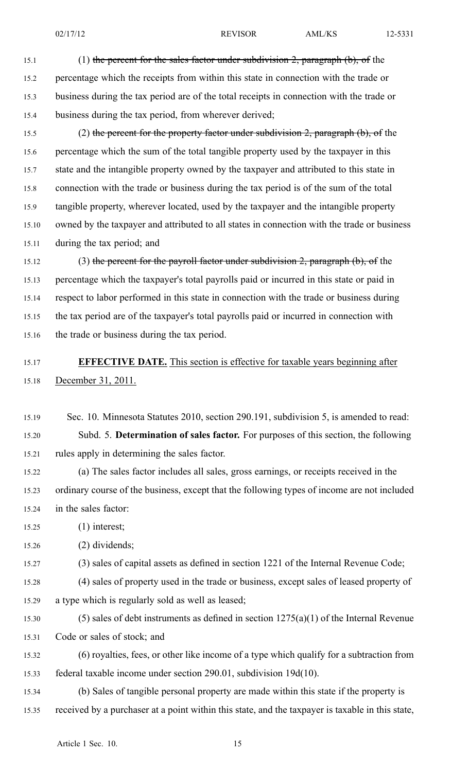15.1 (1) the percent for the sales factor under subdivision 2, paragraph (b), of the 15.2 percentage which the receipts from within this state in connection with the trade or 15.3 business during the tax period are of the total receipts in connection with the trade or 15.4 business during the tax period, from wherever derived;

15.5 (2) the percent for the property factor under subdivision 2, paragraph (b), of the 15.6 percentage which the sum of the total tangible property used by the taxpayer in this 15.7 state and the intangible property owned by the taxpayer and attributed to this state in 15.8 connection with the trade or business during the tax period is of the sum of the total 15.9 tangible property, wherever located, used by the taxpayer and the intangible property 15.10 owned by the taxpayer and attributed to all states in connection with the trade or business 15.11 during the tax period; and

15.12 (3) the percent for the payroll factor under subdivision 2, paragraph (b), of the 15.13 percentage which the taxpayer's total payrolls paid or incurred in this state or paid in 15.14 respec<sup>t</sup> to labor performed in this state in connection with the trade or business during 15.15 the tax period are of the taxpayer's total payrolls paid or incurred in connection with 15.16 the trade or business during the tax period.

#### 15.17 **EFFECTIVE DATE.** This section is effective for taxable years beginning after 15.18 December 31, 2011.

15.19 Sec. 10. Minnesota Statutes 2010, section 290.191, subdivision 5, is amended to read: 15.20 Subd. 5. **Determination of sales factor.** For purposes of this section, the following 15.21 rules apply in determining the sales factor.

15.22 (a) The sales factor includes all sales, gross earnings, or receipts received in the 15.23 ordinary course of the business, excep<sup>t</sup> that the following types of income are not included 15.24 in the sales factor:

15.25 (1) interest;

15.26 (2) dividends;

15.27 (3) sales of capital assets as defined in section 1221 of the Internal Revenue Code;

15.28 (4) sales of property used in the trade or business, excep<sup>t</sup> sales of leased property of 15.29 <sup>a</sup> type which is regularly sold as well as leased;

15.30 (5) sales of debt instruments as defined in section 1275(a)(1) of the Internal Revenue 15.31 Code or sales of stock; and

15.32 (6) royalties, fees, or other like income of <sup>a</sup> type which qualify for <sup>a</sup> subtraction from 15.33 federal taxable income under section 290.01, subdivision 19d(10).

15.34 (b) Sales of tangible personal property are made within this state if the property is 15.35 received by <sup>a</sup> purchaser at <sup>a</sup> point within this state, and the taxpayer is taxable in this state,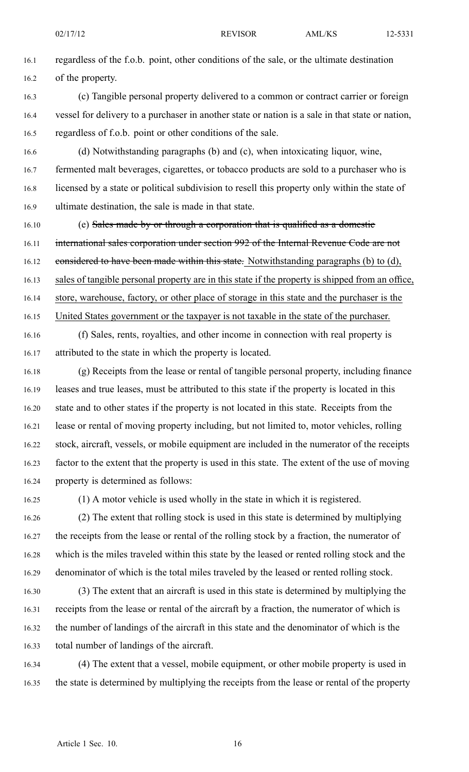16.1 regardless of the f.o.b. point, other conditions of the sale, or the ultimate destination 16.2 of the property.

- 16.3 (c) Tangible personal property delivered to <sup>a</sup> common or contract carrier or foreign 16.4 vessel for delivery to <sup>a</sup> purchaser in another state or nation is <sup>a</sup> sale in that state or nation, 16.5 regardless of f.o.b. point or other conditions of the sale.
- 16.6 (d) Notwithstanding paragraphs (b) and (c), when intoxicating liquor, wine, 16.7 fermented malt beverages, cigarettes, or tobacco products are sold to <sup>a</sup> purchaser who is 16.8 licensed by <sup>a</sup> state or political subdivision to resell this property only within the state of 16.9 ultimate destination, the sale is made in that state.
- 16.10 (e) Sales made by or through a corporation that is qualified as a domestic 16.11 international sales corporation under section 992 of the Internal Revenue Code are not 16.12 considered to have been made within this state. Notwithstanding paragraphs (b) to (d), 16.13 sales of tangible personal property are in this state if the property is shipped from an office, 16.14 store, warehouse, factory, or other place of storage in this state and the purchaser is the 16.15 United States governmen<sup>t</sup> or the taxpayer is not taxable in the state of the purchaser.
- 16.16 (f) Sales, rents, royalties, and other income in connection with real property is 16.17 attributed to the state in which the property is located.
- 16.18 (g) Receipts from the lease or rental of tangible personal property, including finance 16.19 leases and true leases, must be attributed to this state if the property is located in this 16.20 state and to other states if the property is not located in this state. Receipts from the 16.21 lease or rental of moving property including, but not limited to, motor vehicles, rolling 16.22 stock, aircraft, vessels, or mobile equipment are included in the numerator of the receipts 16.23 factor to the extent that the property is used in this state. The extent of the use of moving 16.24 property is determined as follows:
- 

16.25 (1) A motor vehicle is used wholly in the state in which it is registered.

16.26 (2) The extent that rolling stock is used in this state is determined by multiplying 16.27 the receipts from the lease or rental of the rolling stock by <sup>a</sup> fraction, the numerator of 16.28 which is the miles traveled within this state by the leased or rented rolling stock and the 16.29 denominator of which is the total miles traveled by the leased or rented rolling stock.

- 16.30 (3) The extent that an aircraft is used in this state is determined by multiplying the 16.31 receipts from the lease or rental of the aircraft by <sup>a</sup> fraction, the numerator of which is 16.32 the number of landings of the aircraft in this state and the denominator of which is the 16.33 total number of landings of the aircraft.
- 16.34 (4) The extent that <sup>a</sup> vessel, mobile equipment, or other mobile property is used in 16.35 the state is determined by multiplying the receipts from the lease or rental of the property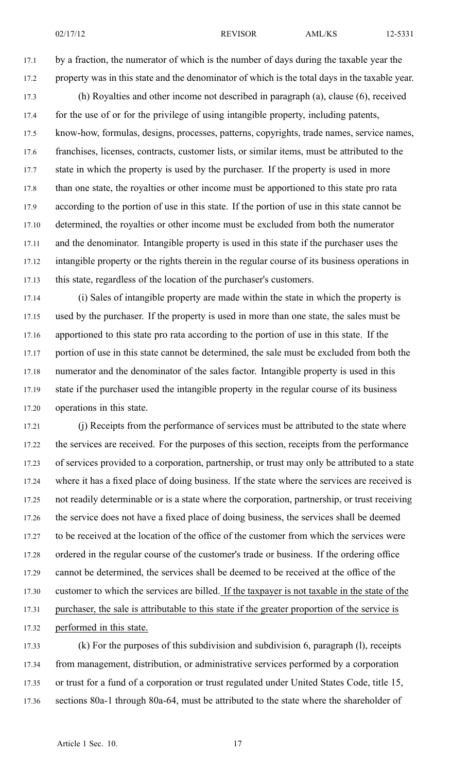17.1 by <sup>a</sup> fraction, the numerator of which is the number of days during the taxable year the 17.2 property was in this state and the denominator of which is the total days in the taxable year.

17.3 (h) Royalties and other income not described in paragraph (a), clause (6), received 17.4 for the use of or for the privilege of using intangible property, including patents, 17.5 know-how, formulas, designs, processes, patterns, copyrights, trade names, service names, 17.6 franchises, licenses, contracts, customer lists, or similar items, must be attributed to the 17.7 state in which the property is used by the purchaser. If the property is used in more 17.8 than one state, the royalties or other income must be apportioned to this state pro rata 17.9 according to the portion of use in this state. If the portion of use in this state cannot be 17.10 determined, the royalties or other income must be excluded from both the numerator 17.11 and the denominator. Intangible property is used in this state if the purchaser uses the 17.12 intangible property or the rights therein in the regular course of its business operations in 17.13 this state, regardless of the location of the purchaser's customers.

17.14 (i) Sales of intangible property are made within the state in which the property is 17.15 used by the purchaser. If the property is used in more than one state, the sales must be 17.16 apportioned to this state pro rata according to the portion of use in this state. If the 17.17 portion of use in this state cannot be determined, the sale must be excluded from both the 17.18 numerator and the denominator of the sales factor. Intangible property is used in this 17.19 state if the purchaser used the intangible property in the regular course of its business 17.20 operations in this state.

17.21 (j) Receipts from the performance of services must be attributed to the state where 17.22 the services are received. For the purposes of this section, receipts from the performance 17.23 of services provided to <sup>a</sup> corporation, partnership, or trust may only be attributed to <sup>a</sup> state 17.24 where it has <sup>a</sup> fixed place of doing business. If the state where the services are received is 17.25 not readily determinable or is <sup>a</sup> state where the corporation, partnership, or trust receiving 17.26 the service does not have <sup>a</sup> fixed place of doing business, the services shall be deemed 17.27 to be received at the location of the office of the customer from which the services were 17.28 ordered in the regular course of the customer's trade or business. If the ordering office 17.29 cannot be determined, the services shall be deemed to be received at the office of the 17.30 customer to which the services are billed. If the taxpayer is not taxable in the state of the 17.31 purchaser, the sale is attributable to this state if the greater proportion of the service is 17.32 performed in this state.

17.33 (k) For the purposes of this subdivision and subdivision 6, paragraph (l), receipts 17.34 from management, distribution, or administrative services performed by <sup>a</sup> corporation 17.35 or trust for <sup>a</sup> fund of <sup>a</sup> corporation or trust regulated under United States Code, title 15, 17.36 sections 80a-1 through 80a-64, must be attributed to the state where the shareholder of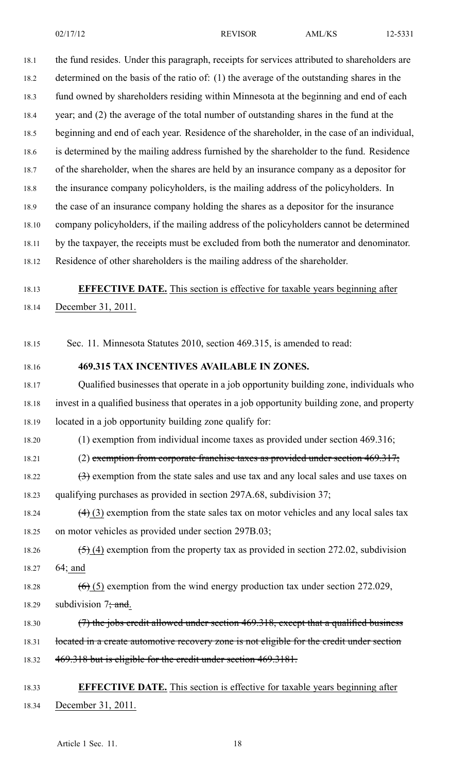18.1 the fund resides. Under this paragraph, receipts for services attributed to shareholders are 18.2 determined on the basis of the ratio of: (1) the average of the outstanding shares in the 18.3 fund owned by shareholders residing within Minnesota at the beginning and end of each 18.4 year; and (2) the average of the total number of outstanding shares in the fund at the 18.5 beginning and end of each year. Residence of the shareholder, in the case of an individual, 18.6 is determined by the mailing address furnished by the shareholder to the fund. Residence 18.7 of the shareholder, when the shares are held by an insurance company as <sup>a</sup> depositor for 18.8 the insurance company policyholders, is the mailing address of the policyholders. In 18.9 the case of an insurance company holding the shares as <sup>a</sup> depositor for the insurance 18.10 company policyholders, if the mailing address of the policyholders cannot be determined 18.11 by the taxpayer, the receipts must be excluded from both the numerator and denominator. 18.12 Residence of other shareholders is the mailing address of the shareholder.

18.13 **EFFECTIVE DATE.** This section is effective for taxable years beginning after

18.14 December 31, 2011.

18.15 Sec. 11. Minnesota Statutes 2010, section 469.315, is amended to read:

18.16 **469.315 TAX INCENTIVES AVAILABLE IN ZONES.**

18.17 Qualified businesses that operate in <sup>a</sup> job opportunity building zone, individuals who 18.18 invest in <sup>a</sup> qualified business that operates in <sup>a</sup> job opportunity building zone, and property 18.19 located in <sup>a</sup> job opportunity building zone qualify for:

18.20 (1) exemption from individual income taxes as provided under section 469.316;

18.21 (2) exemption from corporate franchise taxes as provided under section  $469.317$ ;

18.22  $(3)$  exemption from the state sales and use tax and any local sales and use taxes on 18.23 qualifying purchases as provided in section 297A.68, subdivision 37;

18.24  $\left(4\right)\left(3\right)$  exemption from the state sales tax on motor vehicles and any local sales tax 18.25 on motor vehicles as provided under section 297B.03;

18.26  $(5)$  (4) exemption from the property tax as provided in section 272.02, subdivision 18.27 64; and

## 18.28  $(6)$  (5) exemption from the wind energy production tax under section 272.029,

- 18.29 subdivision  $7$ ; and.
- 18.30 (7) the jobs credit allowed under section 469.318, except that a qualified business
- 18.31 located in a create automotive recovery zone is not eligible for the credit under section
- 18.32 469.318 but is eligible for the credit under section 469.3181.

#### 18.33 **EFFECTIVE DATE.** This section is effective for taxable years beginning after 18.34 December 31, 2011.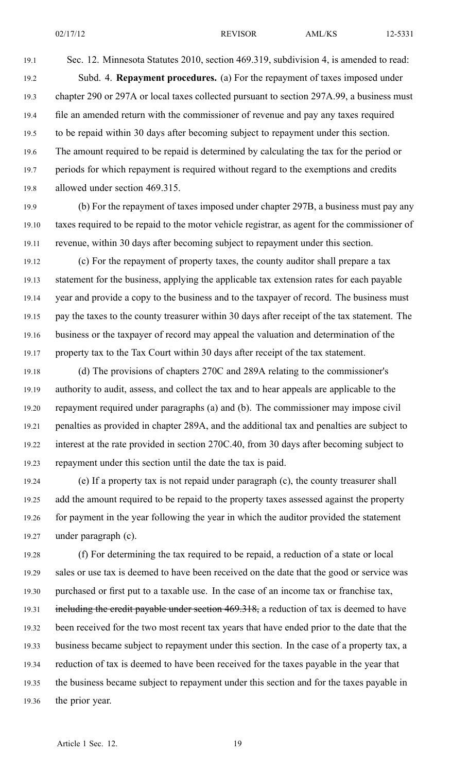19.1 Sec. 12. Minnesota Statutes 2010, section 469.319, subdivision 4, is amended to read: 19.2 Subd. 4. **Repayment procedures.** (a) For the repaymen<sup>t</sup> of taxes imposed under 19.3 chapter 290 or 297A or local taxes collected pursuan<sup>t</sup> to section 297A.99, <sup>a</sup> business must 19.4 file an amended return with the commissioner of revenue and pay any taxes required 19.5 to be repaid within 30 days after becoming subject to repaymen<sup>t</sup> under this section. 19.6 The amount required to be repaid is determined by calculating the tax for the period or 19.7 periods for which repaymen<sup>t</sup> is required without regard to the exemptions and credits 19.8 allowed under section 469.315.

19.9 (b) For the repaymen<sup>t</sup> of taxes imposed under chapter 297B, <sup>a</sup> business must pay any 19.10 taxes required to be repaid to the motor vehicle registrar, as agen<sup>t</sup> for the commissioner of 19.11 revenue, within 30 days after becoming subject to repaymen<sup>t</sup> under this section.

19.12 (c) For the repaymen<sup>t</sup> of property taxes, the county auditor shall prepare <sup>a</sup> tax 19.13 statement for the business, applying the applicable tax extension rates for each payable 19.14 year and provide <sup>a</sup> copy to the business and to the taxpayer of record. The business must 19.15 pay the taxes to the county treasurer within 30 days after receipt of the tax statement. The 19.16 business or the taxpayer of record may appeal the valuation and determination of the 19.17 property tax to the Tax Court within 30 days after receipt of the tax statement.

19.18 (d) The provisions of chapters 270C and 289A relating to the commissioner's 19.19 authority to audit, assess, and collect the tax and to hear appeals are applicable to the 19.20 repaymen<sup>t</sup> required under paragraphs (a) and (b). The commissioner may impose civil 19.21 penalties as provided in chapter 289A, and the additional tax and penalties are subject to 19.22 interest at the rate provided in section 270C.40, from 30 days after becoming subject to 19.23 repaymen<sup>t</sup> under this section until the date the tax is paid.

19.24 (e) If <sup>a</sup> property tax is not repaid under paragraph (c), the county treasurer shall 19.25 add the amount required to be repaid to the property taxes assessed against the property 19.26 for paymen<sup>t</sup> in the year following the year in which the auditor provided the statement 19.27 under paragraph (c).

19.28 (f) For determining the tax required to be repaid, <sup>a</sup> reduction of <sup>a</sup> state or local 19.29 sales or use tax is deemed to have been received on the date that the good or service was 19.30 purchased or first pu<sup>t</sup> to <sup>a</sup> taxable use. In the case of an income tax or franchise tax, 19.31 including the credit payable under section 469.318, a reduction of tax is deemed to have 19.32 been received for the two most recent tax years that have ended prior to the date that the 19.33 business became subject to repaymen<sup>t</sup> under this section. In the case of <sup>a</sup> property tax, <sup>a</sup> 19.34 reduction of tax is deemed to have been received for the taxes payable in the year that 19.35 the business became subject to repaymen<sup>t</sup> under this section and for the taxes payable in 19.36 the prior year.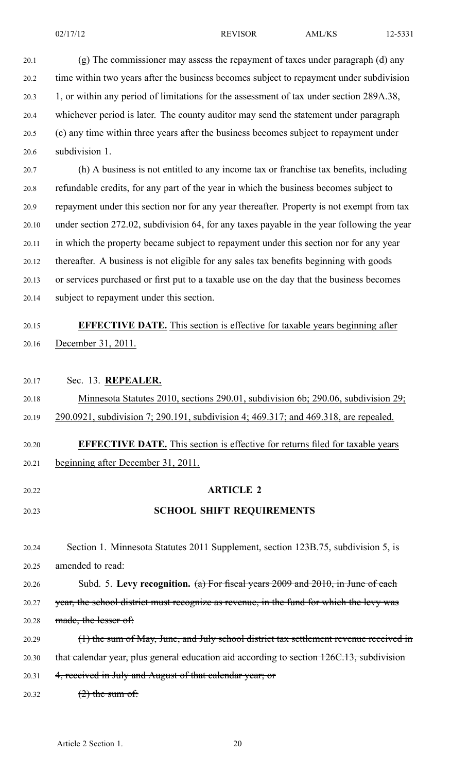20.1 (g) The commissioner may assess the repaymen<sup>t</sup> of taxes under paragraph (d) any 20.2 time within two years after the business becomes subject to repaymen<sup>t</sup> under subdivision 20.3 1, or within any period of limitations for the assessment of tax under section 289A.38, 20.4 whichever period is later. The county auditor may send the statement under paragraph 20.5 (c) any time within three years after the business becomes subject to repaymen<sup>t</sup> under 20.6 subdivision 1.

20.7 (h) A business is not entitled to any income tax or franchise tax benefits, including 20.8 refundable credits, for any par<sup>t</sup> of the year in which the business becomes subject to 20.9 repaymen<sup>t</sup> under this section nor for any year thereafter. Property is not exemp<sup>t</sup> from tax 20.10 under section 272.02, subdivision 64, for any taxes payable in the year following the year 20.11 in which the property became subject to repaymen<sup>t</sup> under this section nor for any year 20.12 thereafter. A business is not eligible for any sales tax benefits beginning with goods 20.13 or services purchased or first pu<sup>t</sup> to <sup>a</sup> taxable use on the day that the business becomes 20.14 subject to repaymen<sup>t</sup> under this section.

#### 20.15 **EFFECTIVE DATE.** This section is effective for taxable years beginning after 20.16 December 31, 2011.

20.17 Sec. 13. **REPEALER.**

20.18 Minnesota Statutes 2010, sections 290.01, subdivision 6b; 290.06, subdivision 29; 20.19 290.0921, subdivision 7; 290.191, subdivision 4; 469.317; and 469.318, are repealed. 20.20 **EFFECTIVE DATE.** This section is effective for returns filed for taxable years

- 20.21 beginning after December 31, 2011.
- 20.22 **ARTICLE 2**

### 20.23 **SCHOOL SHIFT REQUIREMENTS**

20.24 Section 1. Minnesota Statutes 2011 Supplement, section 123B.75, subdivision 5, is 20.25 amended to read:

20.26 Subd. 5. **Levy recognition.** (a) For fiscal years 2009 and 2010, in June of each 20.27 year, the school district must recognize as revenue, in the fund for which the levy was 20.28 made, the lesser of:

- 20.29 (1) the sum of May, June, and July school district tax settlement revenue received in 20.30 that calendar year, plus general education aid according to section 126C.13, subdivision 20.31 4, received in July and August of that calendar year; or
- $20.32$   $(2)$  the sum of: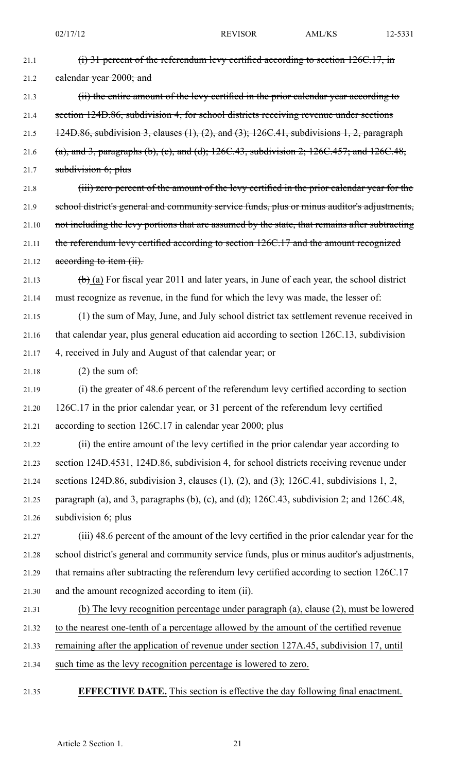| 21.1  | $(i)$ 31 percent of the referendum levy certified according to section 126C.17, in                             |
|-------|----------------------------------------------------------------------------------------------------------------|
| 21.2  | ealendar year 2000; and                                                                                        |
| 21.3  | (ii) the entire amount of the levy certified in the prior calendar year according to                           |
| 21.4  | section 124D.86, subdivision 4, for school districts receiving revenue under sections                          |
| 21.5  | $124D.86$ , subdivision 3, clauses $(1)$ , $(2)$ , and $(3)$ ; $126C.41$ , subdivisions 1, 2, paragraph        |
| 21.6  | (a), and 3, paragraphs (b), (c), and (d); $126C.43$ , subdivision 2; $126C.457$ ; and $126C.48$ ,              |
| 21.7  | subdivision $6$ ; plus                                                                                         |
| 21.8  | (iii) zero percent of the amount of the levy certified in the prior calendar year for the                      |
| 21.9  | school district's general and community service funds, plus or minus auditor's adjustments,                    |
| 21.10 | not including the levy portions that are assumed by the state, that remains after subtracting                  |
| 21.11 | the referendum levy certified according to section 126C.17 and the amount recognized                           |
| 21.12 | according to item (ii).                                                                                        |
| 21.13 | $\left(\frac{b}{c}\right)$ (a) For fiscal year 2011 and later years, in June of each year, the school district |
| 21.14 | must recognize as revenue, in the fund for which the levy was made, the lesser of:                             |
| 21.15 | (1) the sum of May, June, and July school district tax settlement revenue received in                          |
| 21.16 | that calendar year, plus general education aid according to section 126C.13, subdivision                       |
| 21.17 | 4, received in July and August of that calendar year; or                                                       |
| 21.18 | $(2)$ the sum of:                                                                                              |
| 21.19 | (i) the greater of 48.6 percent of the referendum levy certified according to section                          |
| 21.20 | 126C.17 in the prior calendar year, or 31 percent of the referendum levy certified                             |
| 21.21 | according to section 126C.17 in calendar year 2000; plus                                                       |
| 21.22 | (ii) the entire amount of the levy certified in the prior calendar year according to                           |
| 21.23 | section 124D.4531, 124D.86, subdivision 4, for school districts receiving revenue under                        |
| 21.24 | sections 124D.86, subdivision 3, clauses $(1)$ , $(2)$ , and $(3)$ ; 126C.41, subdivisions 1, 2,               |
| 21.25 | paragraph (a), and 3, paragraphs (b), (c), and (d); 126C.43, subdivision 2; and 126C.48,                       |
| 21.26 | subdivision 6; plus                                                                                            |
| 21.27 | (iii) 48.6 percent of the amount of the levy certified in the prior calendar year for the                      |
| 21.28 | school district's general and community service funds, plus or minus auditor's adjustments,                    |
| 21.29 | that remains after subtracting the referendum levy certified according to section 126C.17                      |
| 21.30 | and the amount recognized according to item (ii).                                                              |
| 21.31 | (b) The levy recognition percentage under paragraph (a), clause (2), must be lowered                           |
| 21.32 | to the nearest one-tenth of a percentage allowed by the amount of the certified revenue                        |
| 21.33 | remaining after the application of revenue under section 127A.45, subdivision 17, until                        |
| 21.34 | such time as the levy recognition percentage is lowered to zero.                                               |
|       |                                                                                                                |

21.35 **EFFECTIVE DATE.** This section is effective the day following final enactment.